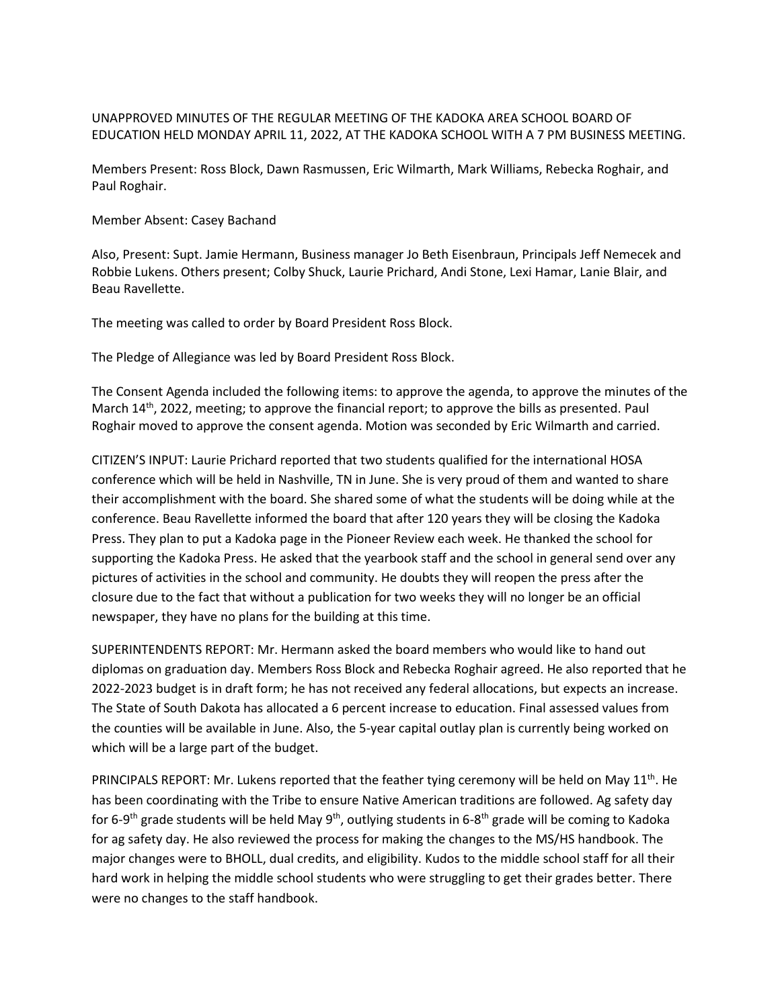## UNAPPROVED MINUTES OF THE REGULAR MEETING OF THE KADOKA AREA SCHOOL BOARD OF EDUCATION HELD MONDAY APRIL 11, 2022, AT THE KADOKA SCHOOL WITH A 7 PM BUSINESS MEETING.

Members Present: Ross Block, Dawn Rasmussen, Eric Wilmarth, Mark Williams, Rebecka Roghair, and Paul Roghair.

## Member Absent: Casey Bachand

Also, Present: Supt. Jamie Hermann, Business manager Jo Beth Eisenbraun, Principals Jeff Nemecek and Robbie Lukens. Others present; Colby Shuck, Laurie Prichard, Andi Stone, Lexi Hamar, Lanie Blair, and Beau Ravellette.

The meeting was called to order by Board President Ross Block.

The Pledge of Allegiance was led by Board President Ross Block.

The Consent Agenda included the following items: to approve the agenda, to approve the minutes of the March 14<sup>th</sup>, 2022, meeting; to approve the financial report; to approve the bills as presented. Paul Roghair moved to approve the consent agenda. Motion was seconded by Eric Wilmarth and carried.

CITIZEN'S INPUT: Laurie Prichard reported that two students qualified for the international HOSA conference which will be held in Nashville, TN in June. She is very proud of them and wanted to share their accomplishment with the board. She shared some of what the students will be doing while at the conference. Beau Ravellette informed the board that after 120 years they will be closing the Kadoka Press. They plan to put a Kadoka page in the Pioneer Review each week. He thanked the school for supporting the Kadoka Press. He asked that the yearbook staff and the school in general send over any pictures of activities in the school and community. He doubts they will reopen the press after the closure due to the fact that without a publication for two weeks they will no longer be an official newspaper, they have no plans for the building at this time.

SUPERINTENDENTS REPORT: Mr. Hermann asked the board members who would like to hand out diplomas on graduation day. Members Ross Block and Rebecka Roghair agreed. He also reported that he 2022-2023 budget is in draft form; he has not received any federal allocations, but expects an increase. The State of South Dakota has allocated a 6 percent increase to education. Final assessed values from the counties will be available in June. Also, the 5-year capital outlay plan is currently being worked on which will be a large part of the budget.

PRINCIPALS REPORT: Mr. Lukens reported that the feather tying ceremony will be held on May  $11<sup>th</sup>$ . He has been coordinating with the Tribe to ensure Native American traditions are followed. Ag safety day for 6-9<sup>th</sup> grade students will be held May 9<sup>th</sup>, outlying students in 6-8<sup>th</sup> grade will be coming to Kadoka for ag safety day. He also reviewed the process for making the changes to the MS/HS handbook. The major changes were to BHOLL, dual credits, and eligibility. Kudos to the middle school staff for all their hard work in helping the middle school students who were struggling to get their grades better. There were no changes to the staff handbook.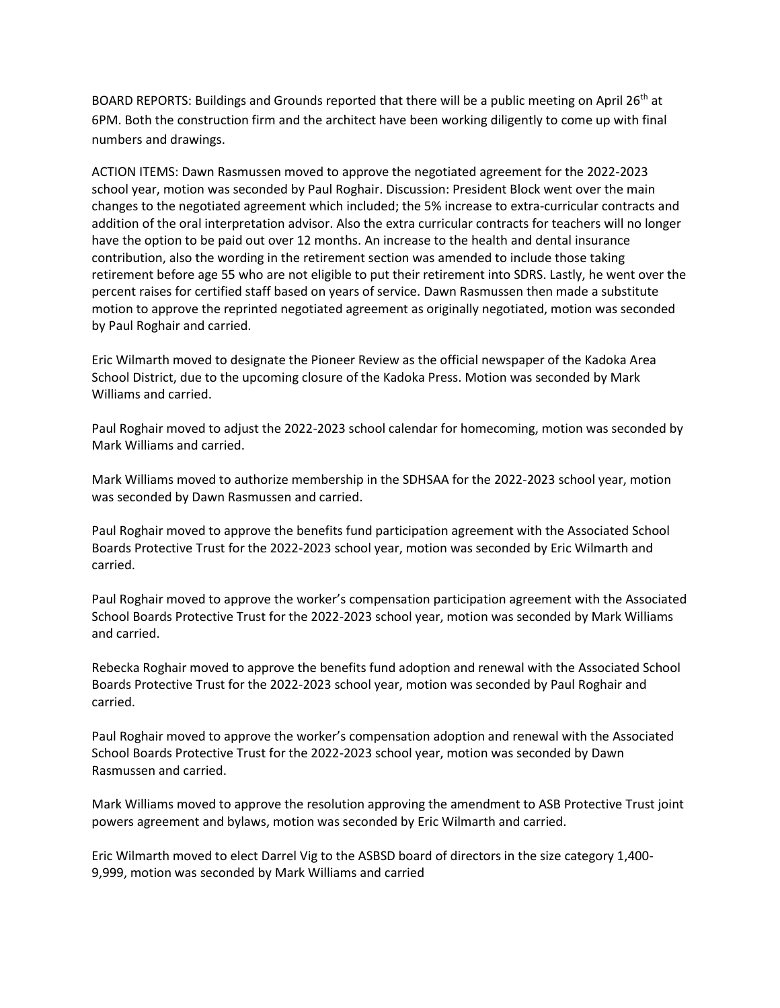BOARD REPORTS: Buildings and Grounds reported that there will be a public meeting on April 26<sup>th</sup> at 6PM. Both the construction firm and the architect have been working diligently to come up with final numbers and drawings.

ACTION ITEMS: Dawn Rasmussen moved to approve the negotiated agreement for the 2022-2023 school year, motion was seconded by Paul Roghair. Discussion: President Block went over the main changes to the negotiated agreement which included; the 5% increase to extra-curricular contracts and addition of the oral interpretation advisor. Also the extra curricular contracts for teachers will no longer have the option to be paid out over 12 months. An increase to the health and dental insurance contribution, also the wording in the retirement section was amended to include those taking retirement before age 55 who are not eligible to put their retirement into SDRS. Lastly, he went over the percent raises for certified staff based on years of service. Dawn Rasmussen then made a substitute motion to approve the reprinted negotiated agreement as originally negotiated, motion was seconded by Paul Roghair and carried.

Eric Wilmarth moved to designate the Pioneer Review as the official newspaper of the Kadoka Area School District, due to the upcoming closure of the Kadoka Press. Motion was seconded by Mark Williams and carried.

Paul Roghair moved to adjust the 2022-2023 school calendar for homecoming, motion was seconded by Mark Williams and carried.

Mark Williams moved to authorize membership in the SDHSAA for the 2022-2023 school year, motion was seconded by Dawn Rasmussen and carried.

Paul Roghair moved to approve the benefits fund participation agreement with the Associated School Boards Protective Trust for the 2022-2023 school year, motion was seconded by Eric Wilmarth and carried.

Paul Roghair moved to approve the worker's compensation participation agreement with the Associated School Boards Protective Trust for the 2022-2023 school year, motion was seconded by Mark Williams and carried.

Rebecka Roghair moved to approve the benefits fund adoption and renewal with the Associated School Boards Protective Trust for the 2022-2023 school year, motion was seconded by Paul Roghair and carried.

Paul Roghair moved to approve the worker's compensation adoption and renewal with the Associated School Boards Protective Trust for the 2022-2023 school year, motion was seconded by Dawn Rasmussen and carried.

Mark Williams moved to approve the resolution approving the amendment to ASB Protective Trust joint powers agreement and bylaws, motion was seconded by Eric Wilmarth and carried.

Eric Wilmarth moved to elect Darrel Vig to the ASBSD board of directors in the size category 1,400- 9,999, motion was seconded by Mark Williams and carried